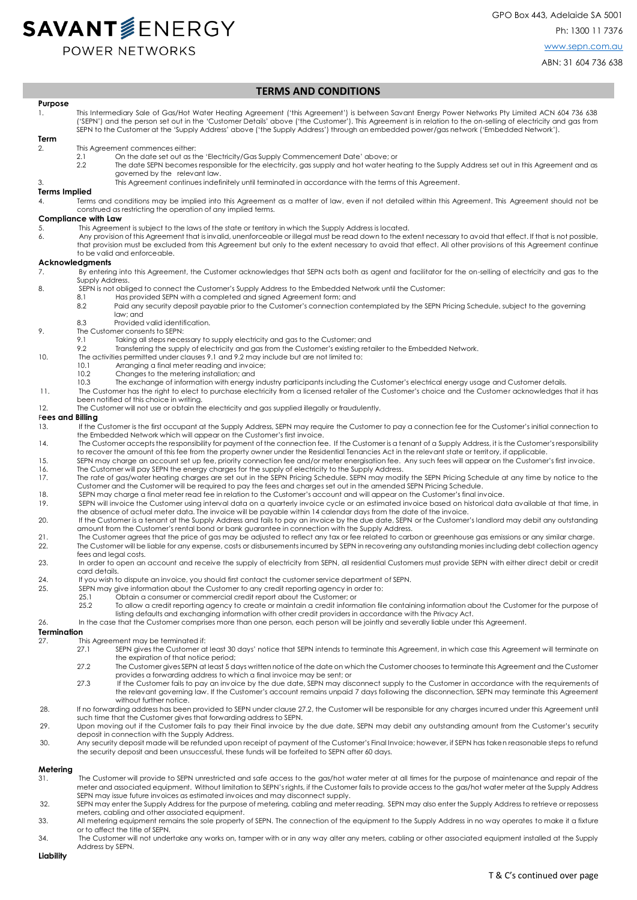# **SAVANT**SENERGY

POWER NETWORKS

# ABN: 31 604 736 638

## **TERMS AND CONDITIONS**

**Purpose**  1. This Intermediary Sale of Gas/Hot Water Heating Agreement ('this Agreement') is between Savant Energy Power Networks Pty Limited ACN 604 736 638 ('SEPN') and the person set out in the 'Customer Details' above ('the Customer'). This Agreement is in relation to the on-selling of electricity and gas from SEPN to the Customer at the 'Supply Address' above ('the Supply Address') through an embedded power/gas network ('Embedded Network').

#### **Term**

- 2. This Agreement commences either:
	- 2.1 On the date set out as the 'Electricity/Gas Supply Commencement Date' above; or<br>2.2 The date SEPN becomes responsible for the electricity, aas supply and hot water hea
		- 2.2 The date SEPN becomes responsible for the electricity, gas supply and hot water heating to the Supply Address set out in this Agreement and as governed by the relevant law.
- 3. This Agreement continues indefinitely until terminated in accordance with the terms of this Agreement.

### **Terms Implied**

4. Terms and conditions may be implied into this Agreement as a matter of law, even if not detailed within this Agreement. This Agreement should not be construed as restricting the operation of any implied terms.

#### **Compliance with Law**

- 5. This Agreement is subject to the laws of the state or territory in which the Supply Address is located.<br>6. Any provision of this Agreement that is invalid, unenforceable or illegal must be read down to the ex-
	- 6. Any provision of this Agreement that is invalid, unenforceable or illegal must be read down to the extent necessary to avoid that effect. If that is not possible, that provision must be excluded from this Agreement but only to the extent necessary to avoid that effect. All other provisions of this Agreement continue to be valid and enforceable.

#### **Acknowledgments**

- 7. By entering into this Agreement, the Customer acknowledges that SEPN acts both as agent and facilitator for the on-selling of electricity and gas to the Supply Address.
- 8. SEPN is not obliged to connect the Customer's Supply Address to the Embedded Network until the Customer:
	- 8.1 Has provided SEPN with a completed and signed Agreement form; and
		- 8.2 Paid any security deposit payable prior to the Customer's connection contemplated by the SEPN Pricing Schedule, subject to the governing law; and
		- $8.3$ Provided valid identification.
- 9. The Customer consents to SEPN:
	- 9.1 Taking all steps necessary to supply electricity and gas to the Customer; and
	- 9.2 Transferring the supply of electricity and gas from the Customer's existing retailer to the Embedded Network.
- 10. The activities permitted under clauses 9.1 and 9.2 may include but are not limited to:
	- 10.1 Arranging a final meter reading and invoice;
	- 10.2 Changes to the metering installation; and
	- 10.3 The exchange of information with energy industry participants including the Customer's electrical energy usage and Customer details.
- 11. The Customer has the right to elect to purchase electricity from a licensed retailer of the Customer's choice and the Customer acknowledges that it has been notified of this choice in writing.
- 12. The Customer will not use or obtain the electricity and gas supplied illegally or fraudulently.

# F**ees and Billing**

- 13. If the Customer is the first occupant at the Supply Address, SEPN may require the Customer to pay a connection fee for the Customer's initial connection to the Embedded Network which will appear on the Customer's first invoice.
- 14. The Customer accepts the responsibility for payment of the connection fee. If the Customer is a tenant of a Supply Address, it is the Customer's responsibility to recover the amount of this fee from the property owner under the Residential Tenancies Act in the relevant state or territory, if applicable.
- 15. SEPN may charge an account set up fee, priority connection fee and/or meter energisation fee. Any such fees will appear on the Customer's first invoice.
- 16. The Customer will pay SEPN the energy charges for the supply of electricity to the Supply Address.<br>17. The rate of gas/water heating charges are set out in the SEPN Pricing Schedule. SEPN may modify the SEPN Pricing Sc Customer and the Customer will be required to pay the fees and charges set out in the amended SEPN Pricing Schedule.
- 18. SEPN may charge a final meter read fee in relation to the Customer's account and will appear on the Customer's final invoice.
- 19. SEPN will invoice the Customer using interval data on a quarterly invoice cycle or an estimated invoice based on historical data available at that time, in the absence of actual meter data. The invoice will be payable within 14 calendar days from the date of the invoice.
- 10. If the Customer is a tenant at the Supply Address and fails to pay an invoice by the due date, SEPN or the Customer's landlord may debit any outstanding<br>amount from the Customer's rental bond or bank guarantee in conne
- 21. The Customer agrees that the price of gas may be adjusted to reflect any tax or fee related to carbon or greenhouse gas emissions or any similar charge.<br>22. The Customer will be liable for any expense, costs or disburs The Customer will be liable for any expense, costs or disbursements incurred by SEPN in recovering any outstanding monies including debt collection agency fees and legal costs.
- 23. In order to open an account and receive the supply of electricity from SEPN, all residential Customers must provide SEPN with either direct debit or credit card details.
- 24. If you wish to dispute an invoice, you should first contact the customer service department of SEPN.
- 25. SEPN may give information about the Customer to any credit reporting agency in order to: 25.1 Obtain a consumer or commercial credit report about the Customer; or
	-
	- 25.2 To allow a credit reporting agency to create or maintain a credit information file containing information about the Customer for the purpose of listing defaults and exchanging information with other credit providers in accordance with the Privacy Act.
- 26. In the case that the Customer comprises more than one person, each person will be jointly and severally liable under this Agreement.

## **Termination**

- 27. This Agreement may be terminated if:
	- 27.1 SEPN gives the Customer at least 30 days' notice that SEPN intends to terminate this Agreement, in which case this Agreement will terminate on the expiration of that notice period;
	- 27.2 The Customer gives SEPN at least 5 days written notice of the date on which the Customer chooses to terminate this Agreement and the Customer provides a forwarding address to which a final invoice may be sent; or
	- 27.3 If the Customer fails to pay an invoice by the due date, SEPN may disconnect supply to the Customer in accordance with the requirements of the relevant governing law. If the Customer's account remains unpaid 7 days following the disconnection, SEPN may terminate this Agreement without further notice.
- 28. If no forwarding address has been provided to SEPN under clause 27.2, the Customer will be responsible for any charges incurred under this Agreement until
- such time that the Customer gives that forwarding address to SEPN.<br>29. Upon moving out if the Customer fails to pay their Final invoice by the due date, SEPN may debit any outstanding amount from the Customer's sec deposit in connection with the Supply Address.
- 30. Any security deposit made will be refunded upon receipt of payment of the Customer's Final Invoice; however, if SEPN has taken reasonable steps to refund the security deposit and been unsuccessful, these funds will be forfeited to SEPN after 60 days.

# **Metering**

- 31. The Customer will provide to SEPN unrestricted and safe access to the gas/hot water meter at all times for the purpose of maintenance and repair of the meter and associated equipment. Without limitation to SEPN's rights, if the Customer fails to provide access to the gas/hot water meter at the Supply Address SEPN may issue future invoices as estimated invoices and may disconnect supply.
- 32. SEPN may enter the Supply Address for the purpose of metering, cabling and meter reading. SEPN may also enter the Supply Address to retrieve or repossess meters, cabling and other associated equipment.
- 33. All metering equipment remains the sole property of SEPN. The connection of the equipment to the Supply Address in no way operates to make it a fixture or to affect the title of SEPN.
- 34. The Customer will not undertake any works on, tamper with or in any way alter any meters, cabling or other associated equipment installed at the Supply Address by SEPN.